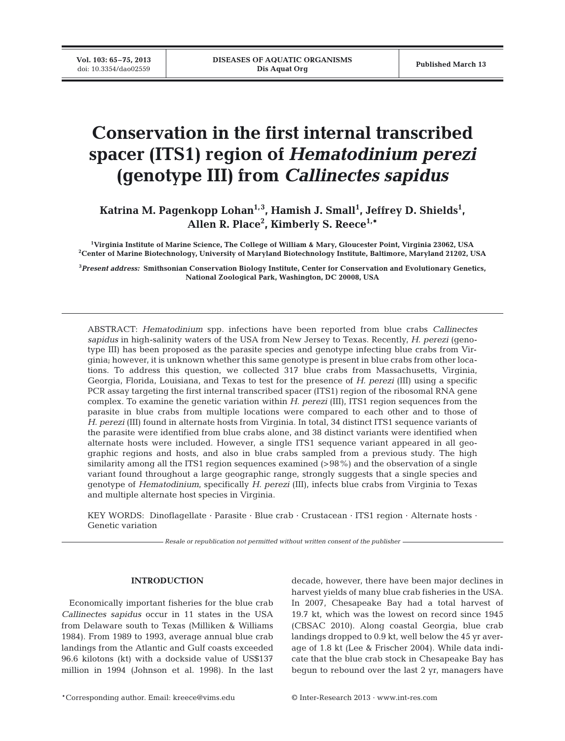# **Conservation in the first internal transcribed spacer (ITS1) region of** *Hematodinium perezi* **(genotype III) from** *Callinectes sapidus*

Katrina M. Pagenkopp Lohan<sup>1,3</sup>, Hamish J. Small<sup>1</sup>, Jeffrey D. Shields<sup>1</sup>, **Allen R. Place2 , Kimberly S. Reece1,\***

**1 Virginia Institute of Marine Science, The College of William & Mary, Gloucester Point, Virginia 23062, USA 2 Center of Marine Biotechnology, University of Maryland Biotechnology Institute, Baltimore, Maryland 21202, USA**

**3** *Present address:* **Smithsonian Conservation Biology Institute, Center for Conservation and Evolutionary Genetics, National Zoological Park, Washington, DC 20008, USA**

ABSTRACT: *Hematodinium* spp. infections have been reported from blue crabs *Callinectes sapidus* in high-salinity waters of the USA from New Jersey to Texas. Recently, *H. perezi* (genotype III) has been proposed as the parasite species and genotype infecting blue crabs from Virginia; however, it is unknown whether this same genotype is present in blue crabs from other locations. To address this question, we collected 317 blue crabs from Massachusetts, Virginia, Georgia, Florida, Louisiana, and Texas to test for the presence of *H. perezi* (III) using a specific PCR assay targeting the first internal transcribed spacer (ITS1) region of the ribosomal RNA gene complex. To examine the genetic variation within *H. perezi* (III), ITS1 region sequences from the parasite in blue crabs from multiple locations were compared to each other and to those of *H. perezi* (III) found in alternate hosts from Virginia. In total, 34 distinct ITS1 sequence variants of the parasite were identified from blue crabs alone, and 38 distinct variants were identified when alternate hosts were included. However, a single ITS1 sequence variant appeared in all geographic regions and hosts, and also in blue crabs sampled from a previous study. The high similarity among all the ITS1 region sequences examined (>98%) and the observation of a single variant found throughout a large geographic range, strongly suggests that a single species and genotype of *Hematodinium*, specifically *H. perezi* (III), infects blue crabs from Virginia to Texas and multiple alternate host species in Virginia.

KEY WORDS: Dinoflagellate · Parasite · Blue crab · Crustacean · ITS1 region · Alternate hosts · Genetic variation

*Resale or republication not permitted without written consent of the publisher*

# **INTRODUCTION**

Economically important fisheries for the blue crab Callinectes sapidus occur in 11 states in the USA from Delaware south to Texas (Milliken & Williams 1984). From 1989 to 1993, average annual blue crab landings from the Atlantic and Gulf coasts exceeded 96.6 kilotons (kt) with a dockside value of US\$137 million in 1994 (Johnson et al. 1998). In the last decade, however, there have been major declines in harvest yields of many blue crab fisheries in the USA. In 2007, Chesapeake Bay had a total harvest of 19.7 kt, which was the lowest on record since 1945 (CBSAC 2010). Along coastal Georgia, blue crab landings dropped to 0.9 kt, well below the 45 yr average of 1.8 kt (Lee & Frischer 2004). While data indicate that the blue crab stock in Chesapeake Bay has begun to rebound over the last 2 yr, managers have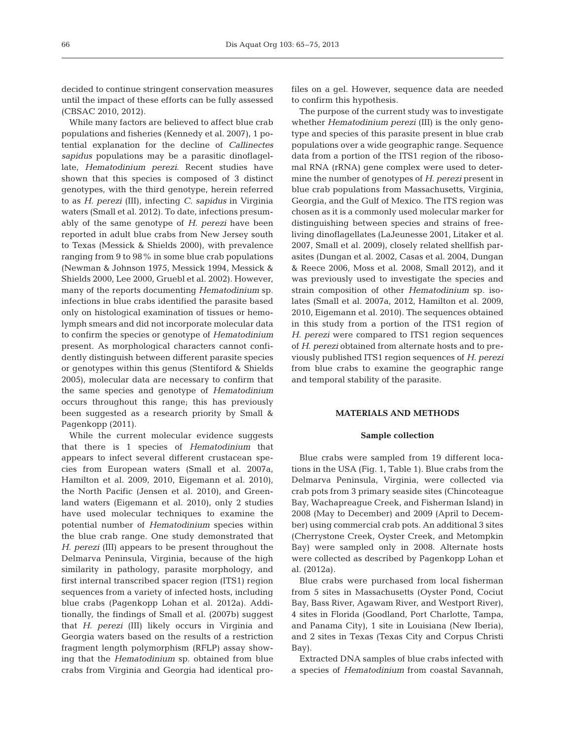decided to continue stringent conservation measures until the impact of these efforts can be fully assessed (CBSAC 2010, 2012).

While many factors are believed to affect blue crab populations and fisheries (Kennedy et al. 2007), 1 potential explanation for the decline of *Callinectes sapidus* populations may be a parasitic dinoflagellate, *Hematodinium perezi*. Recent studies have shown that this species is composed of 3 distinct genotypes, with the third genotype, herein referred to as *H. perezi* (III), infecting *C. sapidus* in Virginia waters (Small et al. 2012). To date, infections presumably of the same genotype of *H. perezi* have been reported in adult blue crabs from New Jersey south to Texas (Messick & Shields 2000), with prevalence ranging from 9 to 98% in some blue crab populations (Newman & Johnson 1975, Messick 1994, Messick & Shields 2000, Lee 2000, Gruebl et al. 2002). However, many of the reports documenting *Hematodinium* sp. infections in blue crabs identified the parasite based only on histological examination of tissues or hemolymph smears and did not incorporate molecular data to confirm the species or genotype of *Hematodinium* present. As morphological characters cannot confidently distinguish between different parasite species or genotypes within this genus (Stentiford & Shields 2005), molecular data are necessary to confirm that the same species and genotype of *Hematodinium* occurs throughout this range; this has previously been suggested as a research priority by Small & Pagenkopp (2011).

While the current molecular evidence suggests that there is 1 species of *Hematodinium* that appears to infect several different crustacean species from European waters (Small et al. 2007a, Hamilton et al. 2009, 2010, Eigemann et al. 2010), the North Pacific (Jensen et al. 2010), and Greenland waters (Eigemann et al. 2010), only 2 studies have used molecular techniques to examine the potential number of *Hematodinium* species within the blue crab range. One study demonstrated that *H. perezi* (III) appears to be present throughout the Delmarva Peninsula, Virginia, because of the high similarity in pathology, parasite morphology, and first internal transcribed spacer region (ITS1) region sequences from a variety of infected hosts, including blue crabs (Pagenkopp Lohan et al. 2012a). Additionally, the findings of Small et al. (2007b) suggest that *H. perezi* (III) likely occurs in Virginia and Georgia waters based on the results of a restriction fragment length polymorphism (RFLP) assay showing that the *Hematodinium* sp. obtained from blue crabs from Virginia and Georgia had identical profiles on a gel. However, sequence data are needed to confirm this hypothesis.

The purpose of the current study was to investigate whether *Hematodinium perezi* (III) is the only genotype and species of this parasite present in blue crab populations over a wide geographic range. Sequence data from a portion of the ITS1 region of the ribosomal RNA (rRNA) gene complex were used to determine the number of genotypes of *H. perezi* present in blue crab populations from Massachusetts, Virginia, Georgia, and the Gulf of Mexico. The ITS region was chosen as it is a commonly used molecular marker for distinguishing between species and strains of freeliving dinoflagellates (LaJeunesse 2001, Litaker et al. 2007, Small et al. 2009), closely related shellfish parasites (Dungan et al. 2002, Casas et al. 2004, Dungan & Reece 2006, Moss et al. 2008, Small 2012), and it was previously used to investigate the species and strain composition of other *Hematodinium* sp. isolates (Small et al. 2007a, 2012, Hamilton et al. 2009, 2010, Eigemann et al. 2010). The sequences obtained in this study from a portion of the ITS1 region of *H. perezi* were compared to ITS1 region sequences of *H. perezi* obtained from alternate hosts and to previously published ITS1 region sequences of *H. perezi* from blue crabs to examine the geographic range and temporal stability of the parasite.

#### **MATERIALS AND METHODS**

#### **Sample collection**

Blue crabs were sampled from 19 different locations in the USA (Fig. 1, Table 1). Blue crabs from the Delmarva Peninsula, Virginia, were collected via crab pots from 3 primary seaside sites (Chincoteague Bay, Wachapreague Creek, and Fisherman Island) in 2008 (May to December) and 2009 (April to December) using commercial crab pots. An additional 3 sites (Cherrystone Creek, Oyster Creek, and Metompkin Bay) were sampled only in 2008. Alternate hosts were collected as described by Pagenkopp Lohan et al. (2012a).

Blue crabs were purchased from local fisherman from 5 sites in Massachusetts (Oyster Pond, Cociut Bay, Bass River, Agawam River, and Westport River), 4 sites in Florida (Goodland, Port Charlotte, Tampa, and Panama City), 1 site in Louisiana (New Iberia), and 2 sites in Texas (Texas City and Corpus Christi Bay).

Extracted DNA samples of blue crabs infected with a species of *Hematodinium* from coastal Savannah,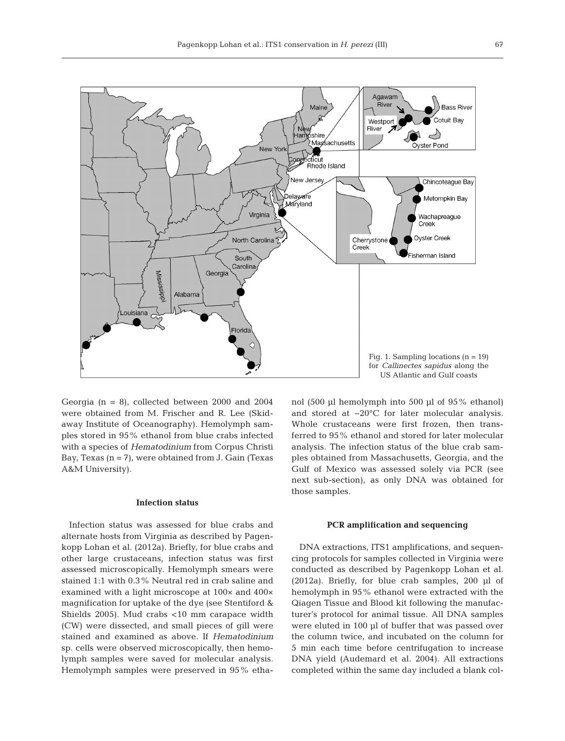

Georgia ( $n = 8$ ), collected between 2000 and 2004 were obtained from M. Frischer and R. Lee (Skidaway Institute of Oceanography). Hemolymph samples stored in 95% ethanol from blue crabs infected with a species of *Hematodinium* from Corpus Christi Bay, Texas  $(n = 7)$ , were obtained from J. Gain (Texas A&M University).

#### **Infection status**

Infection status was assessed for blue crabs and alternate hosts from Virginia as described by Pagen kopp Lohan et al. (2012a). Briefly, for blue crabs and other large crustaceans, infection status was first assessed microscopically. Hemolymph smears were stained 1:1 with 0.3% Neutral red in crab saline and examined with a light microscope at 100× and 400× magnification for uptake of the dye (see Stentiford & Shields 2005). Mud crabs <10 mm carapace width (CW) were dissected, and small pieces of gill were stained and examined as above. If *Hematodinium* sp. cells were observed microscopically, then hemolymph samples were saved for molecular analysis. Hemolymph samples were preserved in 95% ethanol (500 µl hemolymph into 500 µl of  $95\%$  ethanol) and stored at −20°C for later molecular analysis. Whole crustaceans were first frozen, then transferred to 95% ethanol and stored for later molecular analysis. The infection status of the blue crab samples obtained from Massachusetts, Georgia, and the Gulf of Mexico was assessed solely via PCR (see next sub-section), as only DNA was obtained for those samples.

## **PCR amplification and sequencing**

DNA extractions, ITS1 amplifications, and sequencing protocols for samples collected in Virginia were conducted as described by Pagenkopp Lohan et al. (2012a). Briefly, for blue crab samples, 200 µl of hemolymph in 95% ethanol were extracted with the Qiagen Tissue and Blood kit following the manufacturer's protocol for animal tissue. All DNA samples were eluted in 100 µl of buffer that was passed over the column twice, and incubated on the column for 5 min each time before centrifugation to increase DNA yield (Audemard et al. 2004). All extractions completed within the same day included a blank col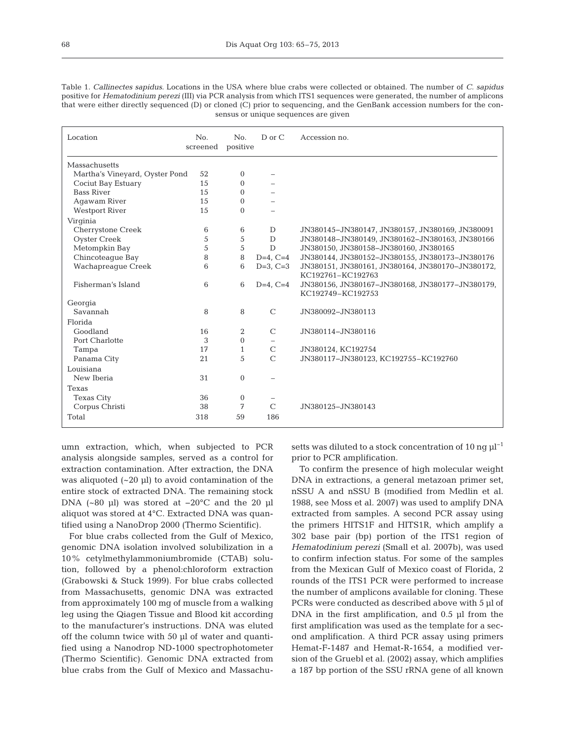Table 1. *Callinectes sapidus*. Locations in the USA where blue crabs were collected or obtained. The number of *C. sapidus* positive for *Hematodinium perezi* (III) via PCR analysis from which ITS1 sequences were generated, the number of amplicons that were either directly sequenced (D) or cloned (C) prior to sequencing, and the GenBank accession numbers for the consensus or unique sequences are given

| Location                       | N <sub>0</sub><br>screened | N <sub>0</sub><br>positive | D or C        | Accession no.                                    |
|--------------------------------|----------------------------|----------------------------|---------------|--------------------------------------------------|
| Massachusetts                  |                            |                            |               |                                                  |
| Martha's Vineyard, Oyster Pond | 52                         | $\mathbf{0}$               |               |                                                  |
| Cociut Bay Estuary             | 15                         | $\mathbf{0}$               |               |                                                  |
| <b>Bass River</b>              | 15                         | $\Omega$                   |               |                                                  |
| Agawam River                   | 15                         | $\mathbf{0}$               |               |                                                  |
| <b>Westport River</b>          | 15                         | $\Omega$                   |               |                                                  |
| Virginia                       |                            |                            |               |                                                  |
| Cherrystone Creek              | 6                          | 6                          | D             | JN380145-JN380147, JN380157, JN380169, JN380091  |
| <b>Oyster Creek</b>            | 5                          | 5                          | D             | JN380148-JN380149, JN380162-JN380163, JN380166   |
| Metompkin Bay                  | 5                          | 5                          | D             | JN380150, JN380158-JN380160, JN380165            |
| Chincoteague Bay               | 8                          | 8                          | $D=4$ , C=4   | JN380144, JN380152-JN380155, JN380173-JN380176   |
| Wachapreaque Creek             | 6                          | 6                          | $D=3$ , $C=3$ | JN380151, JN380161, JN380164, JN380170-JN380172, |
|                                |                            |                            |               | KC192761-KC192763                                |
| Fisherman's Island             | 6                          | 6                          | $D=4$ , $C=4$ | JN380156, JN380167-JN380168, JN380177-JN380179,  |
|                                |                            |                            |               | KC192749-KC192753                                |
| Georgia                        |                            |                            |               |                                                  |
| Savannah                       | 8                          | 8                          | $\mathcal{C}$ | JN380092-JN380113                                |
| Florida                        |                            |                            |               |                                                  |
| Goodland                       | 16                         | 2                          | $\mathcal{C}$ | JN380114-JN380116                                |
| Port Charlotte                 | 3                          | $\Omega$                   |               |                                                  |
| Tampa                          | 17                         | 1                          | $\mathcal{C}$ | JN380124, KC192754                               |
| Panama City                    | 21                         | 5                          | $\mathcal{C}$ | JN380117-JN380123, KC192755-KC192760             |
| Louisiana                      |                            |                            |               |                                                  |
| New Iberia                     | 31                         | $\overline{0}$             |               |                                                  |
| Texas                          |                            |                            |               |                                                  |
| <b>Texas City</b>              | 36                         | $\mathbf{0}$               |               |                                                  |
| Corpus Christi                 | 38                         | 7                          | $\mathcal{C}$ | JN380125-JN380143                                |
| Total                          | 318                        | 59                         | 186           |                                                  |

umn extraction, which, when subjected to PCR analysis alongside samples, served as a control for extraction contamination. After extraction, the DNA was aliquoted  $(-20 \mu l)$  to avoid contamination of the entire stock of extracted DNA. The remaining stock DNA (~80 µl) was stored at −20°C and the 20 µl aliquot was stored at 4°C. Extracted DNA was quantified using a NanoDrop 2000 (Thermo Scientific).

For blue crabs collected from the Gulf of Mexico, genomic DNA isolation involved solubilization in a 10% cetylmethylammoniumbromide (CTAB) solution, followed by a phenol:chloroform extraction (Grabowski & Stuck 1999). For blue crabs collected from Massachusetts, genomic DNA was extracted from approximately 100 mg of muscle from a walking leg using the Qiagen Tissue and Blood kit according to the manufacturer's instructions. DNA was eluted off the column twice with 50 µl of water and quantified using a Nanodrop ND-1000 spectrophotometer (Thermo Scientific). Genomic DNA extracted from blue crabs from the Gulf of Mexico and Massachusetts was diluted to a stock concentration of 10 ng  $\mu$ l<sup>-1</sup> prior to PCR amplification.

To confirm the presence of high molecular weight DNA in extractions, a general metazoan primer set, nSSU A and nSSU B (modified from Medlin et al. 1988, see Moss et al. 2007) was used to amplify DNA extracted from samples. A second PCR assay using the primers HITS1F and HITS1R, which amplify a 302 base pair (bp) portion of the ITS1 region of *Hematodinium perezi* (Small et al. 2007b), was used to confirm infection status. For some of the samples from the Mexican Gulf of Mexico coast of Florida, 2 rounds of the ITS1 PCR were performed to increase the number of amplicons available for cloning. These PCRs were conducted as described above with 5 µl of DNA in the first amplification, and 0.5 µl from the first amplification was used as the template for a second amplification. A third PCR assay using primers Hemat-F-1487 and Hemat-R-1654, a modified version of the Gruebl et al. (2002) assay, which amplifies a 187 bp portion of the SSU rRNA gene of all known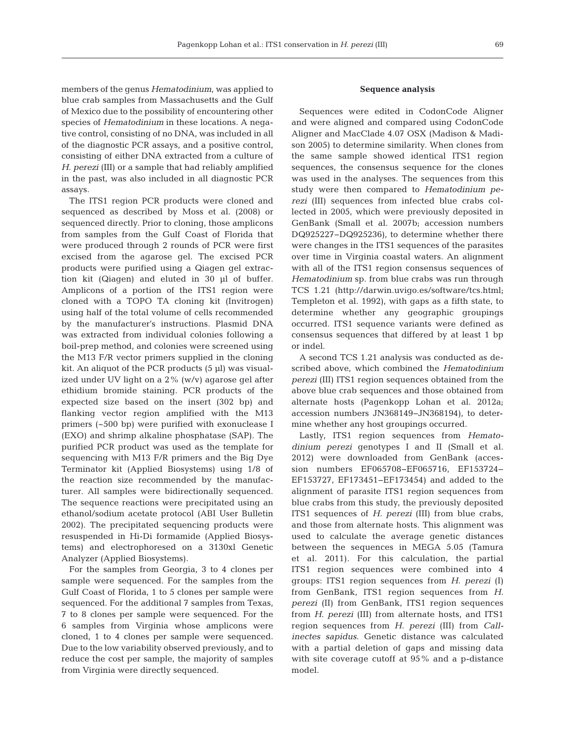members of the genus *Hematodinium*, was applied to blue crab samples from Massachusetts and the Gulf of Mexico due to the possibility of encountering other species of *Hematodinium* in these locations. A negative control, consisting of no DNA, was included in all of the diagnostic PCR assays, and a positive control, consisting of either DNA extracted from a culture of *H. perezi* (III) or a sample that had reliably amplified in the past, was also included in all diagnostic PCR assays.

The ITS1 region PCR products were cloned and sequenced as described by Moss et al. (2008) or sequenced directly. Prior to cloning, those amplicons from samples from the Gulf Coast of Florida that were produced through 2 rounds of PCR were first excised from the agarose gel. The excised PCR products were purified using a Qiagen gel extraction kit (Qiagen) and eluted in 30 µl of buffer. Amplicons of a portion of the ITS1 region were cloned with a TOPO TA cloning kit (Invitrogen) using half of the total volume of cells recommended by the manufacturer's instructions. Plasmid DNA was extracted from individual colonies following a boil-prep method, and colonies were screened using the M13 F/R vector primers supplied in the cloning kit. An aliquot of the PCR products (5 µl) was visualized under UV light on a 2% (w/v) agarose gel after ethidium bromide staining. PCR products of the expected size based on the insert (302 bp) and flanking vector region amplified with the M13 primers (~500 bp) were purified with exonuclease I (EXO) and shrimp alkaline phosphatase (SAP). The purified PCR product was used as the template for sequencing with M13 F/R primers and the Big Dye Terminator kit (Applied Biosystems) using 1/8 of the reaction size recommended by the manufacturer. All samples were bidirectionally sequenced. The sequence reactions were precipitated using an ethanol/sodium acetate protocol (ABI User Bulletin 2002). The precipitated sequencing products were resuspended in Hi-Di formamide (Applied Biosystems) and electrophoresed on a 3130xl Genetic Analyzer (Applied Biosystems).

For the samples from Georgia, 3 to 4 clones per sample were sequenced. For the samples from the Gulf Coast of Florida, 1 to 5 clones per sample were sequenced. For the additional 7 samples from Texas, 7 to 8 clones per sample were sequenced. For the 6 samples from Virginia whose amplicons were cloned, 1 to 4 clones per sample were sequenced. Due to the low variability observed previously, and to reduce the cost per sample, the majority of samples from Virginia were directly sequenced.

## **Sequence analysis**

Sequences were edited in CodonCode Aligner and were aligned and compared using CodonCode Aligner and MacClade 4.07 OSX (Madison & Madison 2005) to determine similarity. When clones from the same sample showed identical ITS1 region sequences, the consensus sequence for the clones was used in the analyses. The sequences from this study were then compared to *Hematodinium pe rezi* (III) sequences from infected blue crabs collected in 2005, which were previously deposited in GenBank (Small et al. 2007b; accession numbers DQ925227−DQ925236), to determine whether there were changes in the ITS1 sequences of the parasites over time in Virginia coastal waters. An alignment with all of the ITS1 region consensus sequences of *Hematodinium* sp. from blue crabs was run through TCS 1.21 (http://darwin.uvigo.es/software/tcs.html; Templeton et al. 1992), with gaps as a fifth state, to determine whether any geographic groupings occurred. ITS1 sequence variants were defined as consensus sequences that differed by at least 1 bp or indel.

A second TCS 1.21 analysis was conducted as de scribed above, which combined the *Hematodinium perezi* (III) ITS1 region sequences obtained from the above blue crab sequences and those obtained from alternate hosts (Pagenkopp Lohan et al. 2012a; accession numbers JN368149−JN 368194), to determine whether any host groupings occurred.

Lastly, ITS1 region sequences from *Hematodinium perezi* genotypes I and II (Small et al. 2012) were downloaded from GenBank (accession numbers EF065708−EF065716, EF153724− EF153727, EF 173 451−EF173454) and added to the alignment of parasite ITS1 region sequences from blue crabs from this study, the previously deposited ITS1 sequences of *H. perezi* (III) from blue crabs, and those from alternate hosts. This alignment was used to calculate the average genetic distances between the sequences in MEGA 5.05 (Tamura et al. 2011). For this calculation, the partial ITS1 region sequences were combined into 4 groups: ITS1 region sequences from *H. perezi* (I) from GenBank, ITS1 region sequences from *H. perezi* (II) from GenBank, ITS1 region sequences from *H. perezi* (III) from alternate hosts, and ITS1 region sequences from *H. perezi* (III) from *Callinectes sapidus*. Genetic distance was calculated with a partial deletion of gaps and missing data with site coverage cutoff at 95% and a p-distance model.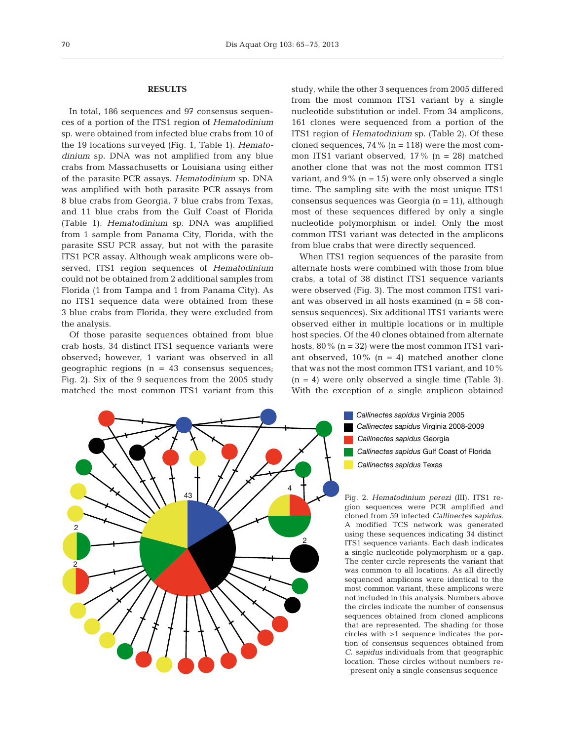## **RESULTS**

In total, 186 sequences and 97 consensus sequences of a portion of the ITS1 region of *Hematodinium* sp. were obtained from infected blue crabs from 10 of the 19 locations surveyed (Fig. 1, Table 1). *Hematodinium* sp. DNA was not amplified from any blue crabs from Massachusetts or Louisiana using either of the parasite PCR assays. *Hematodinium* sp. DNA was amplified with both parasite PCR assays from 8 blue crabs from Georgia, 7 blue crabs from Texas, and 11 blue crabs from the Gulf Coast of Florida (Table 1). *Hematodinium* sp. DNA was amplified from 1 sample from Panama City, Florida, with the parasite SSU PCR assay, but not with the parasite ITS1 PCR assay. Although weak amplicons were ob served, ITS1 region sequences of *Hematodinium* could not be obtained from 2 additional samples from Florida (1 from Tampa and 1 from Panama City). As no ITS1 sequence data were obtained from these 3 blue crabs from Florida, they were excluded from the analysis.

Of those parasite sequences obtained from blue crab hosts, 34 distinct ITS1 sequence variants were observed; however, 1 variant was observed in all geographic regions ( $n = 43$  consensus sequences; Fig. 2). Six of the 9 sequences from the 2005 study matched the most common ITS1 variant from this

study, while the other 3 sequences from 2005 differed from the most common ITS1 variant by a single nucleotide substitution or indel. From 34 amplicons, 161 clones were sequenced from a portion of the ITS1 region of *Hematodinium* sp. (Table 2). Of these cloned sequences, 74 % ( $n = 118$ ) were the most common ITS1 variant observed, 17% (n = 28) matched another clone that was not the most common ITS1 variant, and  $9\%$  (n = 15) were only observed a single time. The sampling site with the most unique ITS1 consensus sequences was Georgia (n = 11), although most of these sequences differed by only a single nucleotide polymorphism or indel. Only the most common ITS1 variant was detected in the amplicons from blue crabs that were directly sequenced.

When ITS1 region sequences of the parasite from alternate hosts were combined with those from blue crabs, a total of 38 distinct ITS1 sequence variants were observed (Fig. 3). The most common ITS1 variant was observed in all hosts examined (n = 58 consensus sequences). Six additional ITS1 variants were observed either in multiple locations or in multiple host species. Of the 40 clones obtained from alternate hosts,  $80\%$  (n = 32) were the most common ITS1 variant observed,  $10\%$  (n = 4) matched another clone that was not the most common ITS1 variant, and 10%  $(n = 4)$  were only observed a single time (Table 3). With the exception of a single amplicon obtained



Fig. 2. *Hematodinium perezi* (III). ITS1 re gion sequences were PCR amplified and cloned from 59 infected *Callinectes sapidus*. A modified TCS network was generated using these sequences indicating 34 distinct ITS1 sequence variants. Each dash indicates a single nucleotide polymorphism or a gap. The center circle represents the variant that was common to all locations. As all directly sequenced amplicons were identical to the most common variant, these amplicons were not included in this analysis. Numbers above the circles indicate the number of consensus sequences obtained from cloned amplicons that are represented. The shading for those circles with >1 sequence indicates the portion of consensus sequences obtained from *C. sapidus* individuals from that geographic location. Those circles without numbers represent only a single consensus sequence

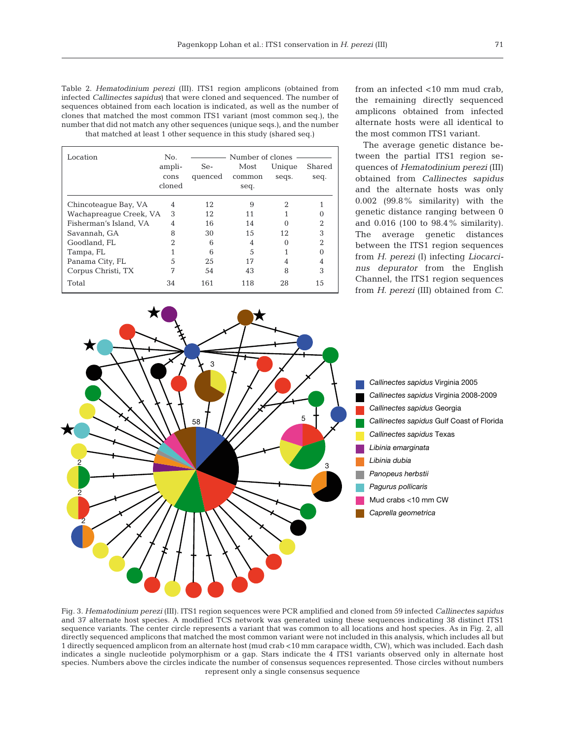| Table 2. <i>Hematodinium perezi</i> (III). ITS1 region amplicons (obtained from     |
|-------------------------------------------------------------------------------------|
| infected <i>Callinectes sapidus</i> ) that were cloned and sequenced. The number of |
| sequences obtained from each location is indicated, as well as the number of        |
| clones that matched the most common ITS1 variant (most common seq.), the            |
| number that did not match any other sequences (unique seqs.), and the number        |
| that matched at least 1 other sequence in this study (shared seq.)                  |

| Location               | N <sub>0</sub> | Number of clones |        |        |                |  |
|------------------------|----------------|------------------|--------|--------|----------------|--|
|                        | ampli-         | Se-              | Most   | Unique | Shared         |  |
|                        | cons           | quenced          | common | seqs.  | seq.           |  |
|                        | cloned         |                  | seq.   |        |                |  |
| Chincoteague Bay, VA   | 4              | 12               | 9      | 2      |                |  |
| Wachapreaque Creek, VA | 3              | 12               | 11     |        |                |  |
| Fisherman's Island, VA | 4              | 16               | 14     |        | $\mathfrak{D}$ |  |
| Savannah, GA           | 8              | 30               | 15     | 12     | 3              |  |
| Goodland, FL           | 2              | 6                | 4      |        | $\mathfrak{D}$ |  |
| Tampa, FL              |                | 6                | 5      |        |                |  |
| Panama City, FL        | 5              | 25               | 17     |        |                |  |
| Corpus Christi, TX     | 7              | 54               | 43     | 8      | 3              |  |
| Total                  | 34             | 161              | 118    | 28     | 15             |  |

from an infected <10 mm mud crab, the remaining directly sequenced amplicons ob tained from infected alternate hosts were all identical to the most common ITS1 variant.

The average genetic distance between the partial ITS1 region sequen ces of *Hematodinium perezi* (III) obtained from *Callinectes sapidus* and the alternate hosts was only 0.002 (99.8% similarity) with the genetic distance ranging between 0 and 0.016 (100 to 98.4% similarity). The average genetic distances between the ITS1 region sequences from *H. perezi* (I) infecting *Liocarcinus depurator* from the English Channel, the ITS1 region sequences from *H. perezi* (III) obtained from *C.* 



Fig. 3. *Hematodinium perezi* (III). ITS1 region sequences were PCR amplified and cloned from 59 infected *Callinectes sapidus* and 37 alternate host species. A modified TCS network was generated using these sequences indicating 38 distinct ITS1 sequence variants. The center circle represents a variant that was common to all locations and host species. As in Fig. 2, all directly sequenced amplicons that matched the most common variant were not included in this analysis, which includes all but 1 directly sequenced amplicon from an alternate host (mud crab <10 mm carapace width, CW), which was included. Each dash indicates a single nucleotide polymorphism or a gap. Stars indicate the 4 ITS1 variants observed only in alternate host species. Numbers above the circles indicate the number of consensus sequences represented. Those circles without numbers represent only a single consensus sequence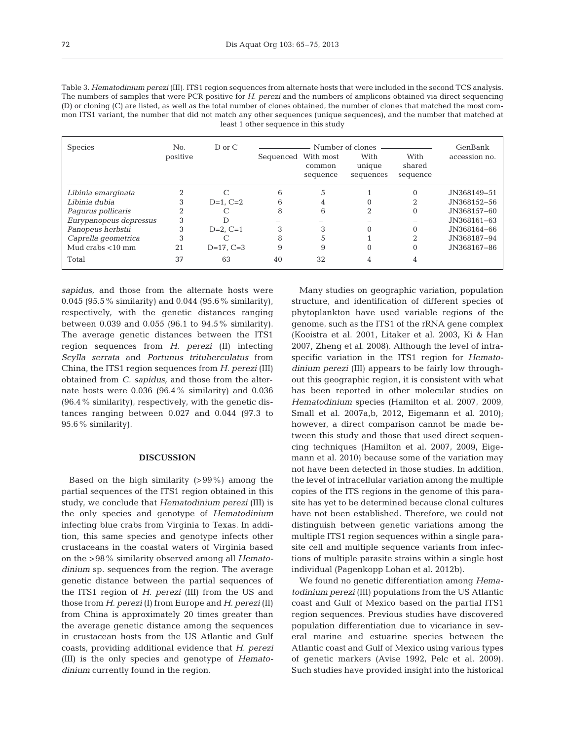| Table 3. Hematodinium perezi (III). ITS1 region sequences from alternate hosts that were included in the second TCS analysis.  |
|--------------------------------------------------------------------------------------------------------------------------------|
| The numbers of samples that were PCR positive for H, perezi and the numbers of amplicons obtained via direct sequencing        |
| (D) or cloning (C) are listed, as well as the total number of clones obtained, the number of clones that matched the most com- |
| mon ITS1 variant, the number that did not match any other sequences (unique sequences), and the number that matched at         |
| least 1 other sequence in this study                                                                                           |

| <b>Species</b>         | No.<br>positive | $D$ or $C$     | Number of clones<br>With<br>With<br>Sequenced With most |                    | GenBank<br>accession no. |                    |             |
|------------------------|-----------------|----------------|---------------------------------------------------------|--------------------|--------------------------|--------------------|-------------|
|                        |                 |                |                                                         | common<br>sequence | unique<br>sequences      | shared<br>sequence |             |
| Libinia emarginata     |                 |                | 6                                                       |                    |                          | 0                  | JN368149-51 |
| Libinia dubia          |                 | $D=1$ . $C=2$  | 6                                                       | 4                  | 0                        | 2                  | JN368152-56 |
| Pagurus pollicaris     |                 |                | 8                                                       | 6                  | 2                        | 0                  | JN368157-60 |
| Eurypanopeus depressus | 3               |                |                                                         |                    |                          |                    | JN368161-63 |
| Panopeus herbstii      | 3               | $D=2, C=1$     | 3                                                       |                    | 0                        | 0                  | JN368164-66 |
| Caprella geometrica    | 3               |                | 8                                                       |                    |                          | ∩                  | JN368187-94 |
| Mud crabs $<$ 10 mm    | 21              | $D=17$ , $C=3$ | 9                                                       | 9                  | 0                        | 0                  | JN368167-86 |
| Total                  | 37              | 63             | 40                                                      | 32                 |                          |                    |             |

*sapidus,* and those from the alternate hosts were 0.045 (95.5% similarity) and 0.044 (95.6% similarity), respectively, with the genetic distances ranging between 0.039 and 0.055 (96.1 to 94.5% similarity). The average genetic distances between the ITS1 region sequences from *H. perezi* (II) infecting *Scylla serrata* and *Portunus trituberculatus* from China, the ITS1 region sequences from *H. perezi* (III) obtained from *C. sapidus,* and those from the alternate hosts were 0.036 (96.4% similarity) and 0.036 (96.4% similarity), respectively, with the genetic distances ranging between 0.027 and 0.044 (97.3 to 95.6% similarity).

### **DISCUSSION**

Based on the high similarity (>99%) among the partial sequences of the ITS1 region obtained in this study, we conclude that *Hematodinium perezi* (III) is the only species and genotype of *Hematodinium* infecting blue crabs from Virginia to Texas. In addition, this same species and genotype infects other crustaceans in the coastal waters of Virginia based on the >98% similarity observed among all *Hematodinium* sp. sequences from the region. The average genetic distance between the partial sequences of the ITS1 region of *H. perezi* (III) from the US and those from *H. perezi* (I) from Europe and *H. perezi* (II) from China is approximately 20 times greater than the average genetic distance among the sequences in crustacean hosts from the US Atlantic and Gulf coasts, providing additional evidence that *H. perezi* (III) is the only species and genotype of *Hematodinium* currently found in the region.

Many studies on geographic variation, population structure, and identification of different species of phytoplankton have used variable regions of the genome, such as the ITS1 of the rRNA gene complex (Kooistra et al. 2001, Litaker et al. 2003, Ki & Han 2007, Zheng et al. 2008). Although the level of intraspecific variation in the ITS1 region for *Hematodinium perezi* (III) appears to be fairly low throughout this geographic region, it is consistent with what has been reported in other molecular studies on *Hematodinium* species (Hamilton et al. 2007, 2009, Small et al. 2007a,b, 2012, Eigemann et al. 2010); however, a direct comparison cannot be made between this study and those that used direct sequencing techniques (Hamilton et al. 2007, 2009, Eigemann et al. 2010) because some of the variation may not have been detected in those studies. In addition, the level of intracellular variation among the multiple copies of the ITS regions in the genome of this parasite has yet to be determined because clonal cultures have not been established. Therefore, we could not distinguish between genetic variations among the multiple ITS1 region sequences within a single parasite cell and multiple sequence variants from infections of multiple parasite strains within a single host individual (Pagenkopp Lohan et al. 2012b).

We found no genetic differentiation among *Hematodinium perezi* (III) populations from the US Atlantic coast and Gulf of Mexico based on the partial ITS1 region sequences. Previous studies have discovered population differentiation due to vicariance in several marine and estuarine species between the Atlantic coast and Gulf of Mexico using various types of genetic markers (Avise 1992, Pelc et al. 2009). Such studies have provided insight into the historical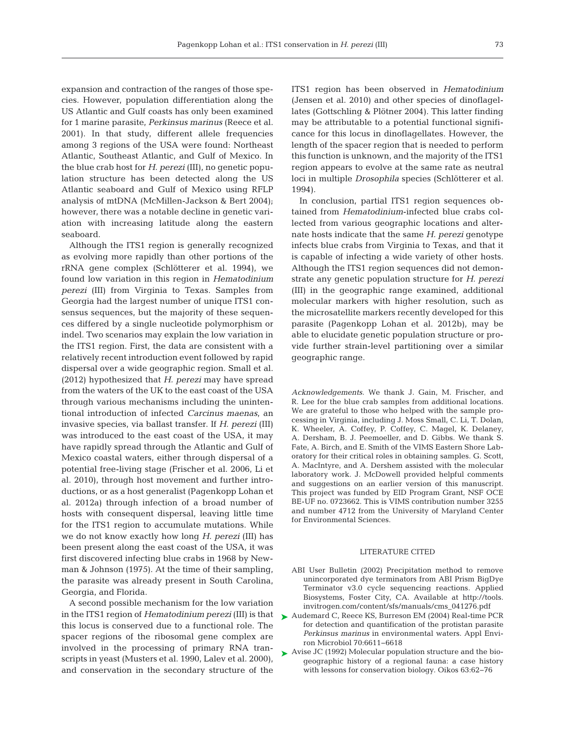expansion and contraction of the ranges of those species. However, population differentiation along the US Atlantic and Gulf coasts has only been examined for 1 marine parasite, *Perkinsus marinus* (Reece et al. 2001). In that study, different allele frequencies among 3 regions of the USA were found: Northeast Atlantic, Southeast Atlantic, and Gulf of Mexico. In the blue crab host for *H. perezi* (III), no genetic population structure has been detected along the US Atlantic seaboard and Gulf of Mexico using RFLP analysis of mtDNA (McMillen-Jackson & Bert 2004); however, there was a notable decline in genetic variation with increasing latitude along the eastern seaboard.

Although the ITS1 region is generally recognized as evolving more rapidly than other portions of the rRNA gene complex (Schlötterer et al. 1994), we found low variation in this region in *Hematodinium perezi* (III) from Virginia to Texas. Samples from Georgia had the largest number of unique ITS1 consensus sequences, but the majority of these sequences differed by a single nucleotide polymorphism or indel. Two scenarios may explain the low variation in the ITS1 region. First, the data are consistent with a relatively recent introduction event followed by rapid dispersal over a wide geographic region. Small et al. (2012) hypothesized that *H. perezi* may have spread from the waters of the UK to the east coast of the USA through various mechanisms including the unintentional introduction of infected *Carcinus maenas*, an invasive species, via ballast transfer. If *H. perezi* (III) was introduced to the east coast of the USA, it may have rapidly spread through the Atlantic and Gulf of Mexico coastal waters, either through dispersal of a potential free-living stage (Frischer et al. 2006, Li et al. 2010), through host movement and further introductions, or as a host generalist (Pagenkopp Lohan et al. 2012a) through infection of a broad number of hosts with consequent dispersal, leaving little time for the ITS1 region to accumulate mutations. While we do not know exactly how long *H. perezi* (III) has been present along the east coast of the USA, it was first discovered infecting blue crabs in 1968 by Newman & Johnson (1975). At the time of their sampling, the parasite was already present in South Carolina, Georgia, and Florida.

A second possible mechanism for the low variation in the ITS1 region of *Hematodinium perezi* (III) is that this locus is conserved due to a functional role. The spacer regions of the ribosomal gene complex are involved in the processing of primary RNA transcripts in yeast (Musters et al. 1990, Lalev et al. 2000), and conservation in the secondary structure of the

ITS1 region has been observed in *Hematodinium* (Jensen et al. 2010) and other species of dinoflagellates (Gottschling & Plötner 2004). This latter finding may be attributable to a potential functional significance for this locus in dinoflagellates. However, the length of the spacer region that is needed to perform this function is unknown, and the majority of the ITS1 region appears to evolve at the same rate as neutral loci in multiple *Drosophila* species (Schlötterer et al. 1994).

In conclusion, partial ITS1 region sequences obtained from *Hematodinium*-infected blue crabs collected from various geographic locations and alternate hosts indicate that the same *H. perezi* genotype infects blue crabs from Virginia to Texas, and that it is capable of infecting a wide variety of other hosts. Although the ITS1 region sequences did not demonstrate any genetic population structure for *H. perezi* (III) in the geographic range examined, additional molecular markers with higher resolution, such as the microsatellite markers recently developed for this parasite (Pagenkopp Lohan et al. 2012b), may be able to elucidate genetic population structure or provide further strain-level partitioning over a similar geographic range.

*Acknowledgements.* We thank J. Gain, M. Frischer, and R. Lee for the blue crab samples from additional locations. We are grateful to those who helped with the sample processing in Virginia, including J. Moss Small, C. Li, T. Dolan, K. Wheeler, A. Coffey, P. Coffey, C. Magel, K. Delaney, A. Dersham, B. J. Peemoeller, and D. Gibbs. We thank S. Fate, A. Birch, and E. Smith of the VIMS Eastern Shore Laboratory for their critical roles in obtaining samples. G. Scott, A. MacIntyre, and A. Dershem assisted with the molecular laboratory work. J. McDowell provided helpful comments and suggestions on an earlier version of this manuscript. This project was funded by EID Program Grant, NSF OCE BE-UF no. 0723662. This is VIMS contribution number 3255 and number 4712 from the University of Maryland Center for Environmental Sciences.

#### LITERATURE CITED

- ABI User Bulletin (2002) Precipitation method to remove unincorporated dye terminators from ABI Prism BigDye Terminator v3.0 cycle sequencing reactions. Applied Biosystems, Foster City, CA. Available at http://tools. invitrogen.com/content/sfs/manuals/cms\_041276.pdf
- ► Audemard C, Reece KS, Burreson EM (2004) Real-time PCR for detection and quantification of the protistan parasite *Perkinsus marinus* in environmental waters. Appl Environ Microbiol 70: 6611−6618
- ▶ Avise JC (1992) Molecular population structure and the biogeographic history of a regional fauna: a case history with lessons for conservation biology. Oikos 63:62-76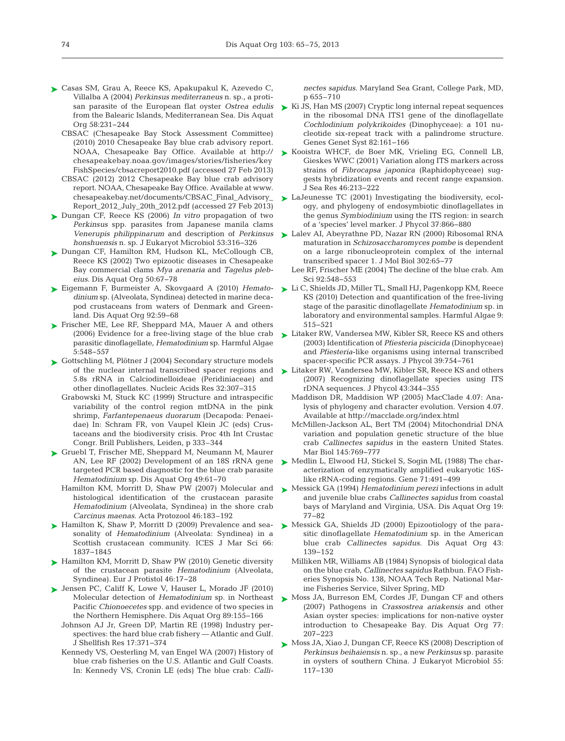- ► Casas SM, Grau A, Reece KS, Apakupakul K, Azevedo C, Villalba A (2004) *Perkinsus mediterraneus* n. sp., a protifrom the Balearic Islands, Mediterranean Sea. Dis Aquat Org 58: 231−244
	- CBSAC (Chesapeake Bay Stock Assessment Committee) (2010) 2010 Chesapeake Bay blue crab advisory report. NOAA, Chesapeake Bay Office. Available at http:// chesa peakebay. noaa. gov/ images/ stories/ fisheries/ key Fish Species/ cbsac report 2010. pdf (accessed 27 Feb 2013)
	- CBSAC (2012) 2012 Chesapeake Bay blue crab advisory report. NOAA, Chesapeake Bay Office. Available at www. chesapeakebay.net/ documents/ CBSAC\_ Final\_ Advisory\_ Report\_2012\_July\_20th\_2012.pdf (accessed 27 Feb 2013)
- ► Dungan CF, Reece KS (2006) *In vitro* propagation of two *Perkinsus* spp. parasites from Japanese manila clams *honshuensis* n. sp. J Eukaryot Microbiol 53: 316−326
- ▶ Dungan CF, Hamilton RM, Hudson KL, McCollough CB, Reece KS (2002) Two epizootic diseases in Chesapeake Bay commercial clams *Mya arenaria* and *Tagelus pleb*  eius. Dis Aquat Org 50:67-78
- Eigemann F, Burmeister A, Skovgaard A (2010) *Hemato-*➤ *dinium* sp. (Alveolata, Syndinea) detected in marine deca pod crustaceans from waters of Denmark and Greenland. Dis Aquat Org 92:59-68
- ► Frischer ME, Lee RF, Sheppard MA, Mauer A and others (2006) Evidence for a free-living stage of the blue crab parasitic dinoflagellate, *Hematodinium* sp. Harmful Algae 5: 548−557
- ► Gottschling M, Plötner J (2004) Secondary structure models of the nuclear internal transcribed spacer regions and 5.8s rRNA in Calciodinelloideae (Peridiniaceae) and other dinoflagellates. Nucleic Acids Res 32: 307−315
	- Grabowski M, Stuck KC (1999) Structure and intraspecific variability of the control region mtDNA in the pink shrimp, Farfantepenaeus duorarum (Decapoda: Penaeidae) In: Schram FR, von Vaupel Klein JC (eds) Crustaceans and the biodiversity crisis. Proc 4th Int Crustac Congr. Brill Publishers, Leiden, p 333–344
- ► Gruebl T, Frischer ME, Sheppard M, Neumann M, Maurer AN, Lee RF (2002) Development of an 18S rRNA gene targeted PCR based diagnostic for the blue crab parasite *Hematodinium* sp. Dis Aquat Org 49:61–70
	- Hamilton KM, Morritt D, Shaw PW (2007) Molecular and histological identification of the crustacean parasite *Hematodinium* (Alveolata, Syndinea) in the shore crab *Carcinus maenas*. Acta Protozool 46:183–192
- ► Hamilton K, Shaw P, Morritt D (2009) Prevalence and seasonality of *Hematodinium* (Alveolata: Syndinea) in a Scottish crustacean community. ICES J Mar Sci 66: 1837−1845
- ► Hamilton KM, Morritt D, Shaw PW (2010) Genetic diversity of the crustacean parasite *Hematodinium* (Alveolata, Syndinea). Eur J Protistol 46: 17−28
- ▶ Jensen PC, Califf K, Lowe V, Hauser L, Morado JF (2010) Molecular detection of *Hematodinium* sp. in Northeast Pacific *Chionoecetes* spp. and evidence of two species in the Northern Hemisphere. Dis Aquat Org 89: 155−166
	- Johnson AJ Jr, Green DP, Martin RE (1998) Industry perspectives: the hard blue crab fishery - Atlantic and Gulf. J Shellfish Res 17: 371−374
	- Kennedy VS, Oesterling M, van Engel WA (2007) History of blue crab fisheries on the U.S. Atlantic and Gulf Coasts. In: Kennedy VS, Cronin LE (eds) The blue crab: *Calli-*

*nectes sapidus*. Maryland Sea Grant, College Park, MD, p 655–710

- san parasite of the European flat oyster *Ostrea edulis*  $\triangleright$  Ki JS, Han MS (2007) Cryptic long internal repeat sequences in the ribosomal DNA ITS1 gene of the dinoflagellate *Cochlodinium polykrikoides* (Dinophyceae): a 101 nucleotide six-repeat track with a palindrome structure. Genes Genet Syst 82: 161−166
	- ► Kooistra WHCF, de Boer MK, Vrieling EG, Connell LB, Gieskes WWC (2001) Variation along ITS markers across strains of *Fibrocapsa japonica* (Raphidophyceae) suggests hybridization events and recent range expansion. J Sea Res 46:213-222
	- ► LaJeunesse TC (2001) Investigating the biodiversity, ecology, and phylogeny of endosymbiotic dinoflagellates in the genus *Symbiodinium* using the ITS region: in search of a 'species' level marker. J Phycol 37: 866−880
- *Venerupis philippinarum* and description of *Perkinsus* Lalev AI, Abeyrathne PD, Nazar RN (2000) Ribosomal RNA ➤ maturation in *Schizosaccharomyces pombe* is dependent on a large ribonucleoprotein complex of the internal transcribed spacer 1. J Mol Biol 302:65−77
	- Lee RF, Frischer ME (2004) The decline of the blue crab. Am Sci 92:548–553
	- Li C, Shields JD, Miller TL, Small HJ, Pagenkopp KM, Reece ➤ KS (2010) Detection and quantification of the free-living stage of the parasitic dinoflagellate *Hematodinium* sp. in laboratory and environmental samples. Harmful Algae 9: 515−521
	- ► Litaker RW, Vandersea MW, Kibler SR, Reece KS and others (2003) Identification of *Pfiesteria piscicida* (Dinophyceae) and *Pfiesteria*-like organisms using internal transcribed spacer-specific PCR assays. J Phycol 39:754-761
	- ► Litaker RW, Vandersea MW, Kibler SR, Reece KS and others (2007) Recognizing dinoflagellate species using ITS rDNA sequences. J Phycol 43:344-355
		- Maddison DR, Maddision WP (2005) MacClade 4.07: Ana lysis of phylogeny and character evolution. Version 4.07. Available at http:// macclade.org/index.html
		- McMillen-Jackson AL, Bert TM (2004) Mitochondrial DNA variation and population genetic structure of the blue crab *Callinectes sapidus* in the eastern United States. Mar Biol 145:769-777
	- ▶ Medlin L, Elwood HJ, Stickel S, Sogin ML (1988) The characterization of enzymatically amplified eukaryotic 16Slike rRNA-coding regions. Gene 71:491–499
	- ► Messick GA (1994) *Hematodinium perezi* infections in adult and juvenile blue crabs *Callinectes sapidus* from coastal bays of Maryland and Virginia, USA. Dis Aquat Org 19: 77−82
	- ▶ Messick GA, Shields JD (2000) Epizootiology of the parasitic dinoflagellate *Hematodinium* sp. in the American blue crab *Callinectes sapidus.* Dis Aquat Org 43: 139−152
		- Milliken MR, Williams AB (1984) Synopsis of biological data on the blue crab, *Callinectes sapidus* Rathbun. FAO Fisheries Synopsis No. 138, NOAA Tech Rep. National Marine Fisheries Service, Silver Spring, MD
	- ▶ Moss JA, Burreson EM, Cordes JF, Dungan CF and others (2007) Pathogens in *Crassostrea ariakensis* and other Asian oyster species: implications for non-native oyster introduction to Chesapeake Bay. Dis Aquat Org 77: 207−223
	- ▶ Moss JA, Xiao J, Dungan CF, Reece KS (2008) Description of *Perkinsus beihaiensis* n. sp., a new *Perkinsus* sp. parasite in oysters of southern China. J Eukaryot Microbiol 55: 117−130